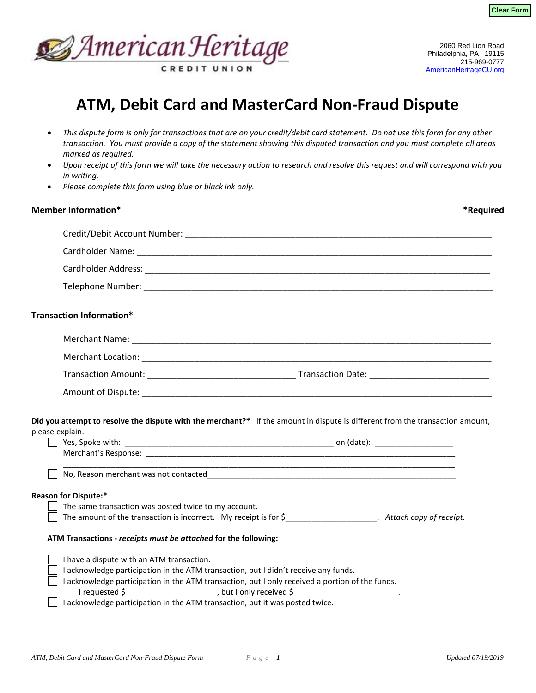



## **ATM, Debit Card and MasterCard Non-Fraud Dispute**

- *This dispute form is only for transactions that are on your credit/debit card statement. Do not use this form for any other transaction. You must provide a copy of the statement showing this disputed transaction and you must complete all areas marked as required.*
- *Upon receipt of this form we will take the necessary action to research and resolve this request and will correspond with you in writing.*
- *Please complete this form using blue or black ink only.*

| <b>Member Information*</b>                                                                                                                                                                                                                                                                                          |                                                                                                                       | *Required |
|---------------------------------------------------------------------------------------------------------------------------------------------------------------------------------------------------------------------------------------------------------------------------------------------------------------------|-----------------------------------------------------------------------------------------------------------------------|-----------|
|                                                                                                                                                                                                                                                                                                                     |                                                                                                                       |           |
|                                                                                                                                                                                                                                                                                                                     |                                                                                                                       |           |
|                                                                                                                                                                                                                                                                                                                     |                                                                                                                       |           |
|                                                                                                                                                                                                                                                                                                                     |                                                                                                                       |           |
| <b>Transaction Information*</b>                                                                                                                                                                                                                                                                                     |                                                                                                                       |           |
|                                                                                                                                                                                                                                                                                                                     |                                                                                                                       |           |
|                                                                                                                                                                                                                                                                                                                     |                                                                                                                       |           |
|                                                                                                                                                                                                                                                                                                                     |                                                                                                                       |           |
|                                                                                                                                                                                                                                                                                                                     |                                                                                                                       |           |
| Did you attempt to resolve the dispute with the merchant?* If the amount in dispute is different from the transaction amount,<br>please explain.                                                                                                                                                                    |                                                                                                                       |           |
|                                                                                                                                                                                                                                                                                                                     | <u> 1980 - Johann Stoff, deutscher Stoff, der Stoff, der Stoff, der Stoff, der Stoff, der Stoff, der Stoff, der S</u> |           |
| <b>Reason for Dispute:*</b>                                                                                                                                                                                                                                                                                         |                                                                                                                       |           |
| The same transaction was posted twice to my account.<br>The amount of the transaction is incorrect. My receipt is for \$_____________________. Attach copy of receipt.                                                                                                                                              |                                                                                                                       |           |
| ATM Transactions - receipts must be attached for the following:                                                                                                                                                                                                                                                     |                                                                                                                       |           |
| I have a dispute with an ATM transaction.<br>I acknowledge participation in the ATM transaction, but I didn't receive any funds.<br>I acknowledge participation in the ATM transaction, but I only received a portion of the funds.<br>I acknowledge participation in the ATM transaction, but it was posted twice. |                                                                                                                       |           |